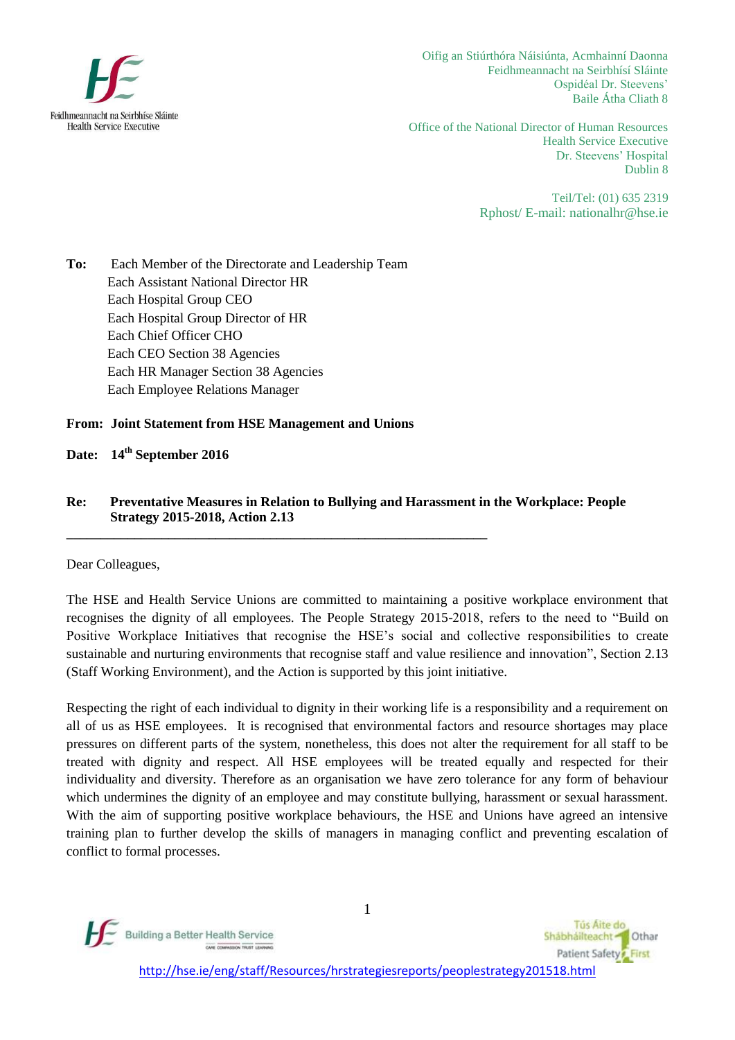

Oifig an Stiúrthóra Náisiúnta, Acmhainní Daonna Feidhmeannacht na Seirbhísí Sláinte Ospidéal Dr. Steevens' Baile Átha Cliath 8

Office of the National Director of Human Resources Health Service Executive Dr. Steevens' Hospital Dublin 8

> Teil/Tel: (01) 635 2319 Rphost/ E-mail: [nationalhr@hse.ie](mailto:nationalhr@hse.ie)

**To:** Each Member of the Directorate and Leadership Team Each Assistant National Director HR Each Hospital Group CEO Each Hospital Group Director of HR Each Chief Officer CHO Each CEO Section 38 Agencies Each HR Manager Section 38 Agencies Each Employee Relations Manager

### **From: Joint Statement from HSE Management and Unions**

**\_\_\_\_\_\_\_\_\_\_\_\_\_\_\_\_\_\_\_\_\_\_\_\_\_\_\_\_\_\_\_\_\_\_\_\_\_\_\_\_\_\_\_\_\_\_\_\_\_\_\_\_\_\_\_\_\_\_\_\_\_\_**

### **Date: 14 th September 2016**

### **Re: Preventative Measures in Relation to Bullying and Harassment in the Workplace: People Strategy 2015-2018, Action 2.13**

Dear Colleagues,

The HSE and Health Service Unions are committed to maintaining a positive workplace environment that recognises the dignity of all employees. The People Strategy 2015-2018, refers to the need to "Build on Positive Workplace Initiatives that recognise the HSE's social and collective responsibilities to create sustainable and nurturing environments that recognise staff and value resilience and innovation", Section 2.13 (Staff Working Environment), and the Action is supported by this joint initiative.

Respecting the right of each individual to dignity in their working life is a responsibility and a requirement on all of us as HSE employees. It is recognised that environmental factors and resource shortages may place pressures on different parts of the system, nonetheless, this does not alter the requirement for all staff to be treated with dignity and respect. All HSE employees will be treated equally and respected for their individuality and diversity. Therefore as an organisation we have zero tolerance for any form of behaviour which undermines the dignity of an employee and may constitute bullying, harassment or sexual harassment. With the aim of supporting positive workplace behaviours, the HSE and Unions have agreed an intensive training plan to further develop the skills of managers in managing conflict and preventing escalation of conflict to formal processes.



1

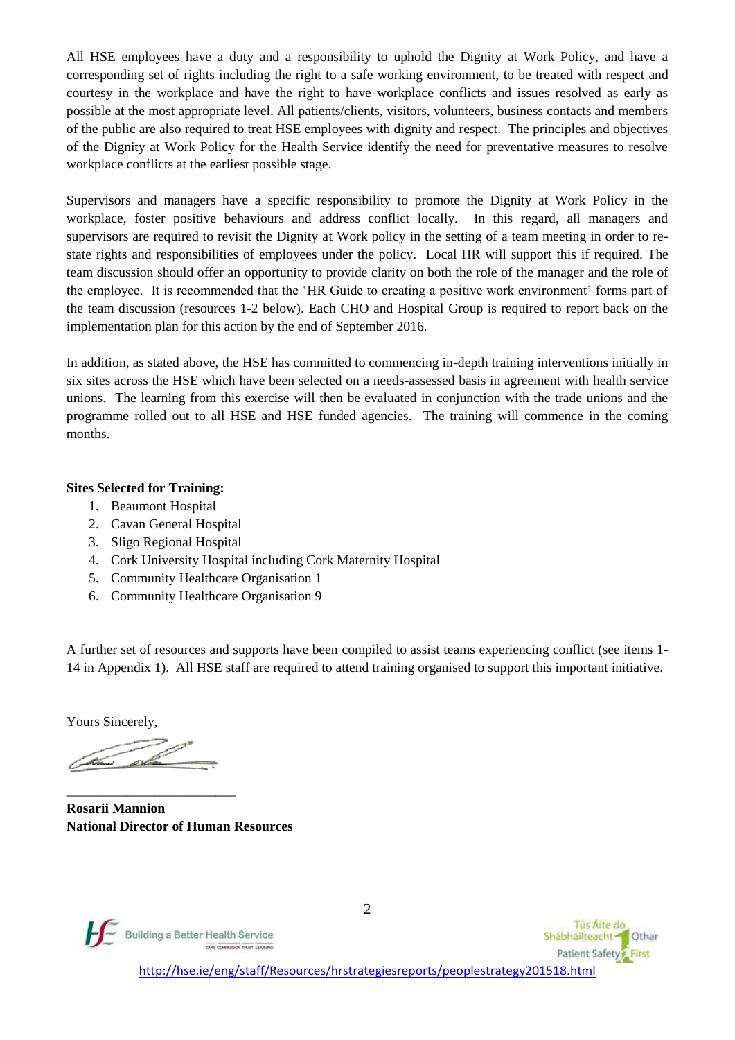All HSE employees have a duty and a responsibility to uphold the Dignity at Work Policy, and have a corresponding set of rights including the right to a safe working environment, to be treated with respect and courtesy in the workplace and have the right to have workplace conflicts and issues resolved as early as possible at the most appropriate level. All patients/clients, visitors, volunteers, business contacts and members of the public are also required to treat HSE employees with dignity and respect. The principles and objectives of the Dignity at Work Policy for the Health Service identify the need for preventative measures to resolve workplace conflicts at the earliest possible stage.

Supervisors and managers have a specific responsibility to promote the Dignity at Work Policy in the workplace, foster positive behaviours and address conflict locally. In this regard, all managers and supervisors are required to revisit the Dignity at Work policy in the setting of a team meeting in order to restate rights and responsibilities of employees under the policy. Local HR will support this if required. The team discussion should offer an opportunity to provide clarity on both the role of the manager and the role of the employee. It is recommended that the 'HR Guide to creating a positive work environment' forms part of the team discussion (resources 1-2 below). Each CHO and Hospital Group is required to report back on the implementation plan for this action by the end of September 2016.

In addition, as stated above, the HSE has committed to commencing in-depth training interventions initially in six sites across the HSE which have been selected on a needs-assessed basis in agreement with health service unions. The learning from this exercise will then be evaluated in conjunction with the trade unions and the programme rolled out to all HSE and HSE funded agencies. The training will commence in the coming months.

### **Sites Selected for Training:**

- 1. Beaumont Hospital
- 2. Cavan General Hospital
- 3. Sligo Regional Hospital
- 4. Cork University Hospital including Cork Maternity Hospital
- 5. Community Healthcare Organisation 1
- 6. Community Healthcare Organisation 9

A further set of resources and supports have been compiled to assist teams experiencing conflict (see items 1- 14 in Appendix 1). All HSE staff are required to attend training organised to support this important initiative.

Yours Sincerely,

<u>ali </u>

\_\_\_\_\_\_\_\_\_\_\_\_\_\_\_\_\_\_\_\_\_\_\_\_\_

**Rosarii Mannion National Director of Human Resources**



2

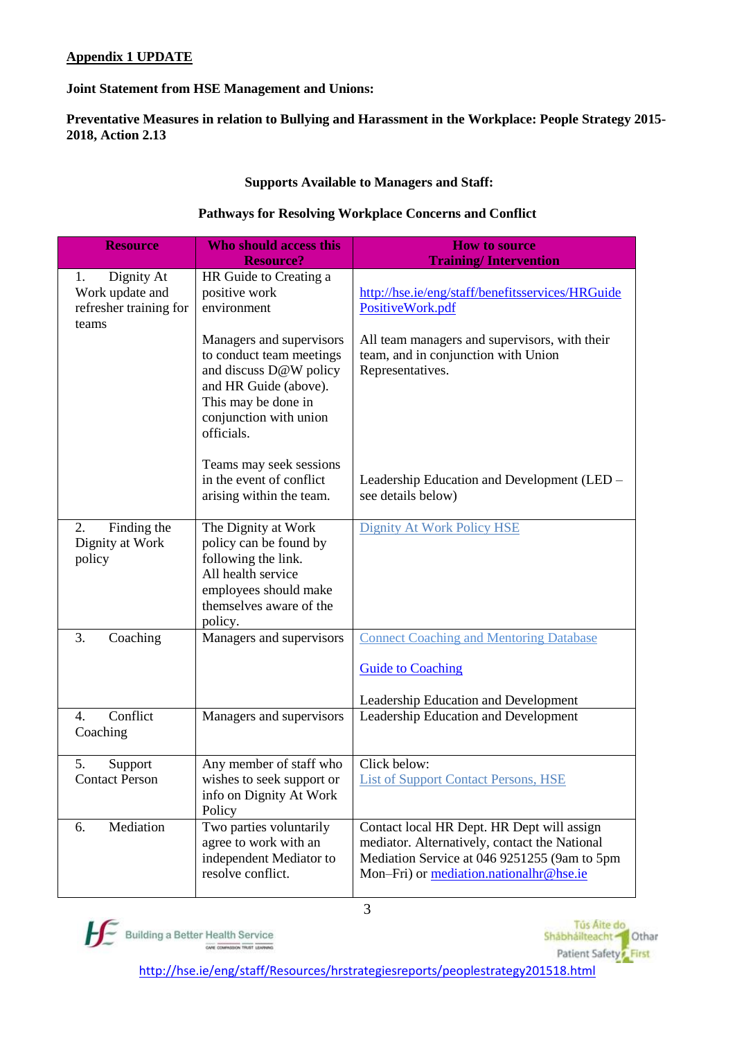## **Appendix 1 UPDATE**

### **Joint Statement from HSE Management and Unions:**

**Preventative Measures in relation to Bullying and Harassment in the Workplace: People Strategy 2015- 2018, Action 2.13**

### **Supports Available to Managers and Staff:**

### **Pathways for Resolving Workplace Concerns and Conflict**

| <b>Resource</b>                                                        | Who should access this                                                                                                                                                 | <b>How to source</b>                                                                                                                                                                   |
|------------------------------------------------------------------------|------------------------------------------------------------------------------------------------------------------------------------------------------------------------|----------------------------------------------------------------------------------------------------------------------------------------------------------------------------------------|
|                                                                        | <b>Resource?</b>                                                                                                                                                       | <b>Training/Intervention</b>                                                                                                                                                           |
| Dignity At<br>1.<br>Work update and<br>refresher training for<br>teams | HR Guide to Creating a<br>positive work<br>environment                                                                                                                 | http://hse.ie/eng/staff/benefitsservices/HRGuide<br>PositiveWork.pdf                                                                                                                   |
|                                                                        | Managers and supervisors<br>to conduct team meetings<br>and discuss D@W policy<br>and HR Guide (above).<br>This may be done in<br>conjunction with union<br>officials. | All team managers and supervisors, with their<br>team, and in conjunction with Union<br>Representatives.                                                                               |
|                                                                        | Teams may seek sessions<br>in the event of conflict<br>arising within the team.                                                                                        | Leadership Education and Development (LED –<br>see details below)                                                                                                                      |
| Finding the<br>2.<br>Dignity at Work<br>policy                         | The Dignity at Work<br>policy can be found by<br>following the link.<br>All health service<br>employees should make<br>themselves aware of the<br>policy.              | <b>Dignity At Work Policy HSE</b>                                                                                                                                                      |
| 3.<br>Coaching                                                         | Managers and supervisors                                                                                                                                               | <b>Connect Coaching and Mentoring Database</b>                                                                                                                                         |
|                                                                        |                                                                                                                                                                        | <b>Guide to Coaching</b>                                                                                                                                                               |
|                                                                        |                                                                                                                                                                        | Leadership Education and Development                                                                                                                                                   |
| Conflict<br>4.<br>Coaching                                             | Managers and supervisors                                                                                                                                               | Leadership Education and Development                                                                                                                                                   |
| 5.<br>Support                                                          | Any member of staff who                                                                                                                                                | Click below:                                                                                                                                                                           |
| <b>Contact Person</b>                                                  | wishes to seek support or<br>info on Dignity At Work<br>Policy                                                                                                         | <b>List of Support Contact Persons, HSE</b>                                                                                                                                            |
| Mediation<br>6.                                                        | Two parties voluntarily<br>agree to work with an<br>independent Mediator to<br>resolve conflict.                                                                       | Contact local HR Dept. HR Dept will assign<br>mediator. Alternatively, contact the National<br>Mediation Service at 046 9251255 (9am to 5pm<br>Mon-Fri) or mediation.nationalhr@hse.ie |



Tús Aite do Shábháilteacht <sup>1</sup> Othar Patient Safety First

http://hse.ie/eng/staff/Resources/hrstrategiesreports/peoplestrategy201518.html

3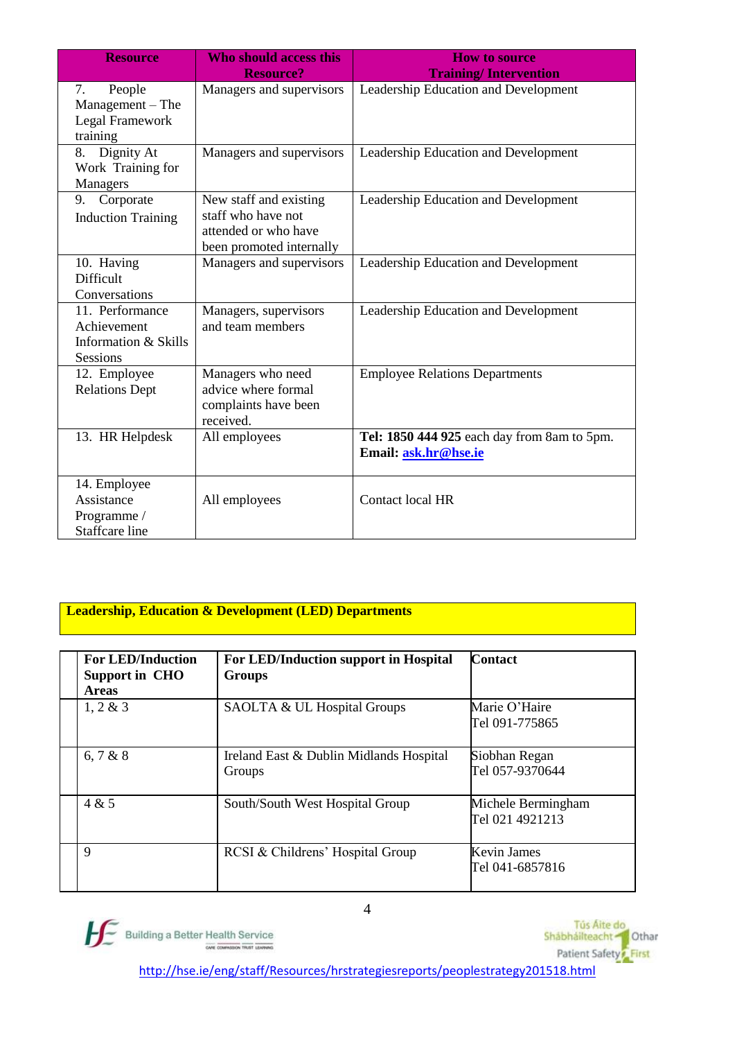| <b>Resource</b>                                                           | <b>Who should access this</b><br><b>Resource?</b>                                                | <b>How to source</b><br><b>Training/Intervention</b>                |
|---------------------------------------------------------------------------|--------------------------------------------------------------------------------------------------|---------------------------------------------------------------------|
| 7.<br>People<br>Management – The<br>Legal Framework<br>training           | Managers and supervisors                                                                         | Leadership Education and Development                                |
| Dignity At<br>8.<br>Work Training for<br>Managers                         | Managers and supervisors                                                                         | Leadership Education and Development                                |
| Corporate<br>9.<br><b>Induction Training</b>                              | New staff and existing<br>staff who have not<br>attended or who have<br>been promoted internally | Leadership Education and Development                                |
| 10. Having<br>Difficult<br>Conversations                                  | Managers and supervisors                                                                         | Leadership Education and Development                                |
| 11. Performance<br>Achievement<br>Information & Skills<br><b>Sessions</b> | Managers, supervisors<br>and team members                                                        | Leadership Education and Development                                |
| 12. Employee<br><b>Relations Dept</b>                                     | Managers who need<br>advice where formal<br>complaints have been<br>received.                    | <b>Employee Relations Departments</b>                               |
| 13. HR Helpdesk                                                           | All employees                                                                                    | Tel: 1850 444 925 each day from 8am to 5pm.<br>Email: ask.hr@hse.ie |
| 14. Employee<br>Assistance<br>Programme /<br><b>Staffcare</b> line        | All employees                                                                                    | Contact local HR                                                    |

## **Leadership, Education & Development (LED) Departments**

| <b>For LED/Induction</b><br><b>Support in CHO</b><br><b>Areas</b> | For LED/Induction support in Hospital<br><b>Groups</b> | <b>Contact</b>                        |
|-------------------------------------------------------------------|--------------------------------------------------------|---------------------------------------|
| $1, 2 \& 3$                                                       | SAOLTA & UL Hospital Groups                            | Marie O'Haire<br>Tel 091-775865       |
| 6, 7 & 8                                                          | Ireland East & Dublin Midlands Hospital<br>Groups      | Siobhan Regan<br>Tel 057-9370644      |
| 4 & 5                                                             | South/South West Hospital Group                        | Michele Bermingham<br>Tel 021 4921213 |
| $\mathbf Q$                                                       | RCSI & Childrens' Hospital Group                       | <b>Kevin James</b><br>Tel 041-6857816 |



Tús Áite do<br>Shábháilteacht - Othar Patient Safety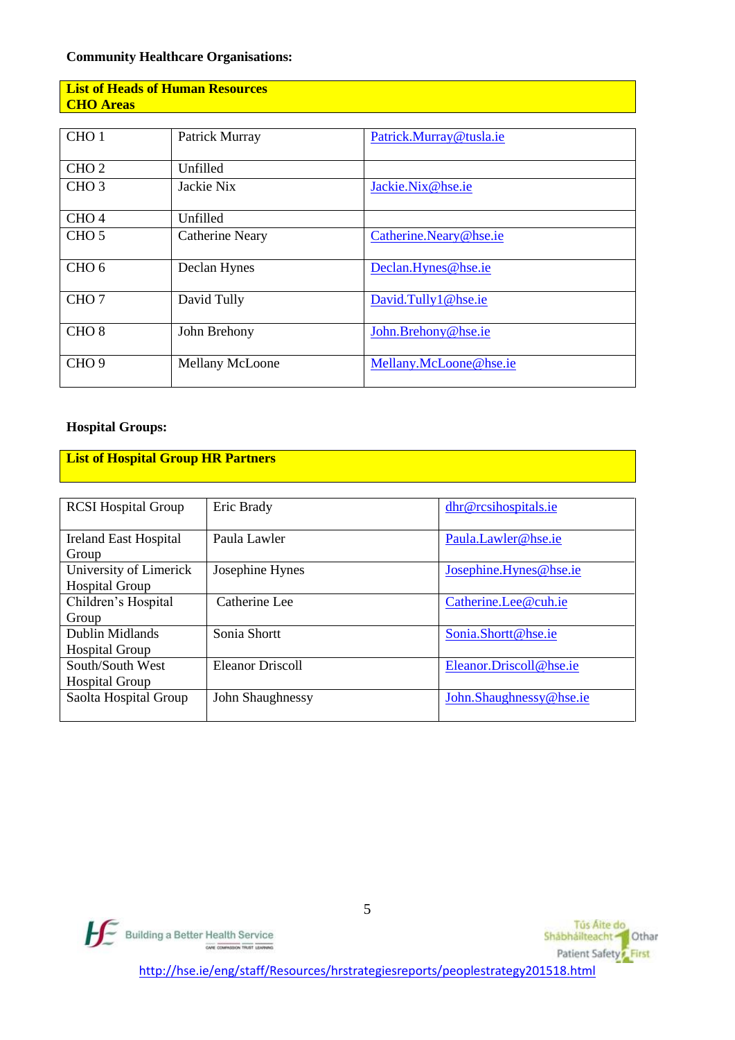### **Community Healthcare Organisations:**

## **List of Heads of Human Resources CHO Areas**

| CHO <sub>1</sub> | Patrick Murray         | Patrick.Murray@tusla.ie |
|------------------|------------------------|-------------------------|
| CHO <sub>2</sub> | Unfilled               |                         |
| CHO <sub>3</sub> | Jackie Nix             | Jackie.Nix@hse.ie       |
| CHO <sub>4</sub> | Unfilled               |                         |
| CHO <sub>5</sub> | <b>Catherine Neary</b> | Catherine.Neary@hse.ie  |
| CHO <sub>6</sub> | Declan Hynes           | Declan.Hynes@hse.ie     |
| CHO <sub>7</sub> | David Tully            | David.Tully1@hse.ie     |
| CHO <sub>8</sub> | John Brehony           | John.Brehony@hse.ie     |
| CHO <sub>9</sub> | Mellany McLoone        | Mellany.McLoone@hse.ie  |

## **Hospital Groups:**

# **List of Hospital Group HR Partners**

| <b>RCSI</b> Hospital Group                      | Eric Brady       | dhr@rcsihospitals.ie    |
|-------------------------------------------------|------------------|-------------------------|
| <b>Ireland East Hospital</b><br>Group           | Paula Lawler     | Paula.Lawler@hse.ie     |
| University of Limerick<br><b>Hospital Group</b> | Josephine Hynes  | Josephine.Hynes@hse.ie  |
| Children's Hospital<br>Group                    | Catherine Lee    | Catherine.Lee@cuh.ie    |
| Dublin Midlands<br><b>Hospital Group</b>        | Sonia Shortt     | Sonia.Shortt@hse.ie     |
| South/South West<br><b>Hospital Group</b>       | Eleanor Driscoll | Eleanor.Driscoll@hse.ie |
| Saolta Hospital Group                           | John Shaughnessy | John.Shaughnessy@hse.ie |



Tús Áite do<br>Shábháilteacht **Tá** Othar Patient Safety<sup>2</sup> First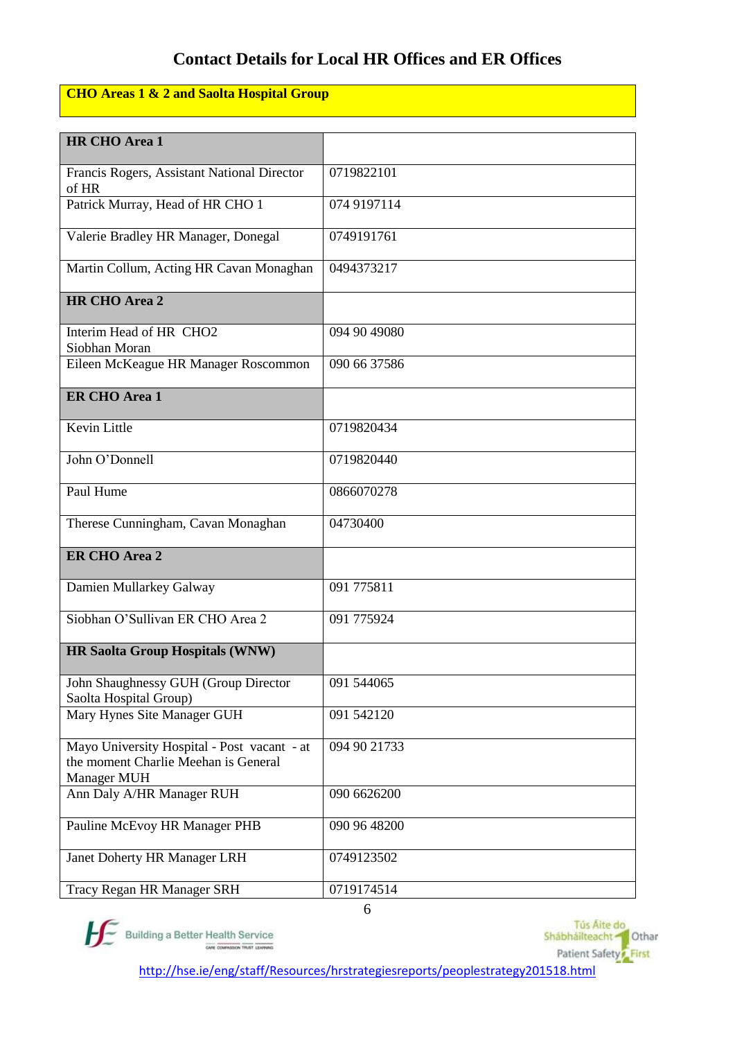# **Contact Details for Local HR Offices and ER Offices**

# **CHO Areas 1 & 2 and Saolta Hospital Group**

| HR CHO Area 1                                                                                      |              |
|----------------------------------------------------------------------------------------------------|--------------|
| Francis Rogers, Assistant National Director<br>of HR                                               | 0719822101   |
| Patrick Murray, Head of HR CHO 1                                                                   | 074 9197114  |
| Valerie Bradley HR Manager, Donegal                                                                | 0749191761   |
| Martin Collum, Acting HR Cavan Monaghan                                                            | 0494373217   |
| HR CHO Area 2                                                                                      |              |
| Interim Head of HR CHO2<br>Siobhan Moran                                                           | 094 90 49080 |
| Eileen McKeague HR Manager Roscommon                                                               | 090 66 37586 |
| <b>ER CHO Area 1</b>                                                                               |              |
| Kevin Little                                                                                       | 0719820434   |
| John O'Donnell                                                                                     | 0719820440   |
| Paul Hume                                                                                          | 0866070278   |
| Therese Cunningham, Cavan Monaghan                                                                 | 04730400     |
| <b>ER CHO Area 2</b>                                                                               |              |
| Damien Mullarkey Galway                                                                            | 091 775811   |
| Siobhan O'Sullivan ER CHO Area 2                                                                   | 091 775924   |
| <b>HR Saolta Group Hospitals (WNW)</b>                                                             |              |
| John Shaughnessy GUH (Group Director<br>Saolta Hospital Group)                                     | 091 544065   |
| Mary Hynes Site Manager GUH                                                                        | 091 542120   |
| Mayo University Hospital - Post vacant - at<br>the moment Charlie Meehan is General<br>Manager MUH | 094 90 21733 |
| Ann Daly A/HR Manager RUH                                                                          | 090 6626200  |
| Pauline McEvoy HR Manager PHB                                                                      | 090 96 48200 |
| Janet Doherty HR Manager LRH                                                                       | 0749123502   |
| Tracy Regan HR Manager SRH                                                                         | 0719174514   |



6

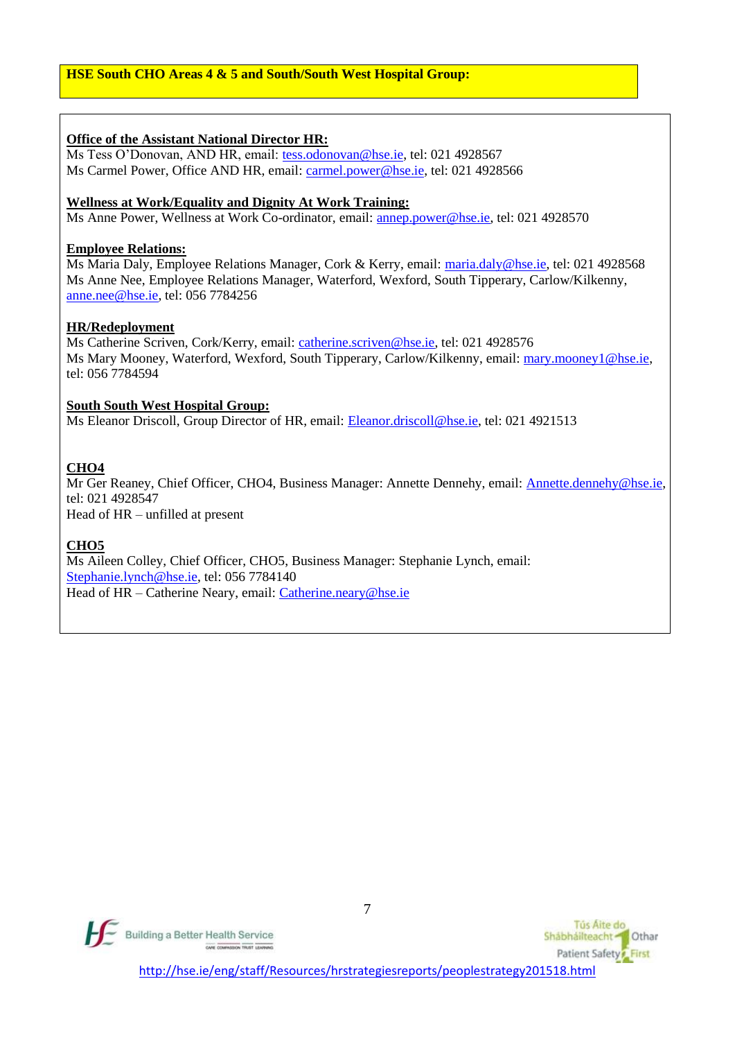### **Office of the Assistant National Director HR:**

Ms Tess O'Donovan, AND HR, email: [tess.odonovan@hse.ie,](mailto:tess.odonovan@hse.ie) tel: 021 4928567 Ms Carmel Power, Office AND HR, email: [carmel.power@hse.ie,](mailto:carmel.power@hse.ie) tel: 021 4928566

### **Wellness at Work/Equality and Dignity At Work Training:**

Ms Anne Power, Wellness at Work Co-ordinator, email: [annep.power@hse.ie,](mailto:annep.power@hse.ie) tel: 021 4928570

#### **Employee Relations:**

Ms Maria Daly, Employee Relations Manager, Cork & Kerry, email: [maria.daly@hse.ie,](mailto:maria.daly@hse.ie) tel: 021 4928568 Ms Anne Nee, Employee Relations Manager, Waterford, Wexford, South Tipperary, Carlow/Kilkenny, [anne.nee@hse.ie,](mailto:anne.nee@hse.ie) tel: 056 7784256

### **HR/Redeployment**

Ms Catherine Scriven, Cork/Kerry, email[: catherine.scriven@hse.ie,](mailto:catherine.scriven@hse.ie) tel: 021 4928576 Ms Mary Mooney, Waterford, Wexford, South Tipperary, Carlow/Kilkenny, email: [mary.mooney1@hse.ie,](mailto:mary.mooney1@hse.ie) tel: 056 7784594

### **South South West Hospital Group:**

Ms Eleanor Driscoll, Group Director of HR, email: [Eleanor.driscoll@hse.ie,](mailto:Eleanor.driscoll@hse.ie) tel: 021 4921513

### **CHO4**

Mr Ger Reaney, Chief Officer, CHO4, Business Manager: Annette Dennehy, email: [Annette.dennehy@hse.ie,](mailto:Annette.dennehy@hse.ie) tel: 021 4928547

Head of HR – unfilled at present

### **CHO5**

Ms Aileen Colley, Chief Officer, CHO5, Business Manager: Stephanie Lynch, email: [Stephanie.lynch@hse.ie,](mailto:Stephanie.lynch@hse.ie) tel: 056 7784140 Head of HR – Catherine Neary, email: [Catherine.neary@hse.ie](mailto:Catherine.neary@hse.ie)



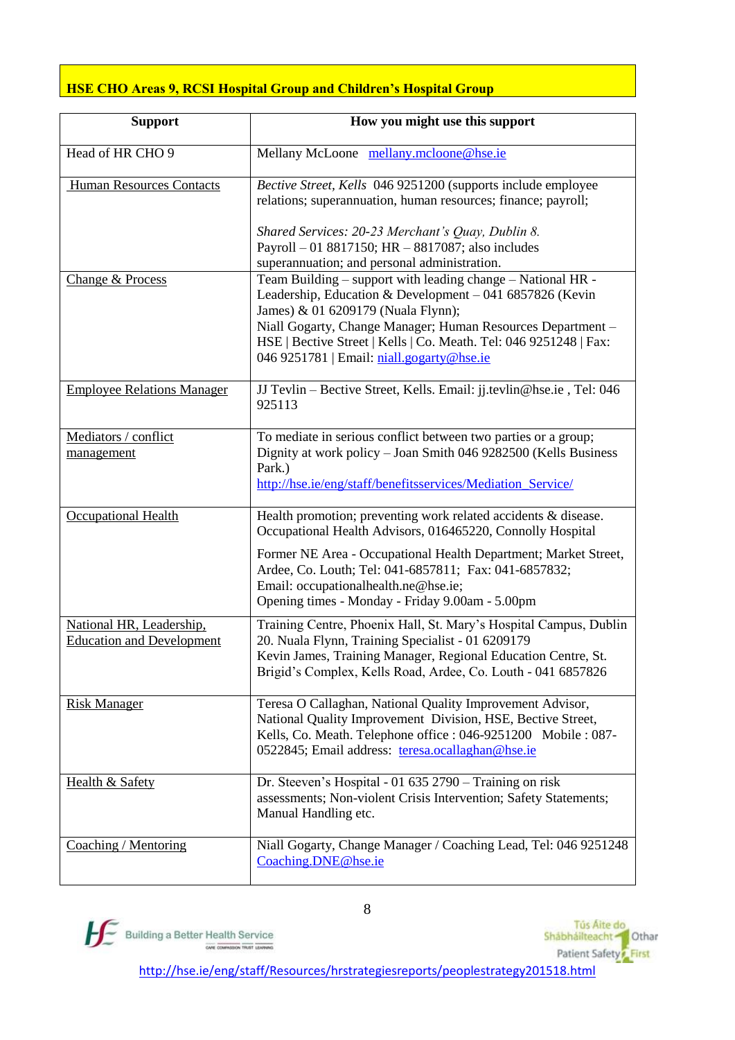## **HSE CHO Areas 9, RCSI Hospital Group and Children's Hospital Group**

| <b>Support</b>                                               | How you might use this support                                                                                                                                                                                                                                                                                                                      |
|--------------------------------------------------------------|-----------------------------------------------------------------------------------------------------------------------------------------------------------------------------------------------------------------------------------------------------------------------------------------------------------------------------------------------------|
| Head of HR CHO 9                                             | Mellany McLoone mellany.mcloone@hse.ie                                                                                                                                                                                                                                                                                                              |
| Human Resources Contacts                                     | Bective Street, Kells 046 9251200 (supports include employee<br>relations; superannuation, human resources; finance; payroll;<br>Shared Services: 20-23 Merchant's Quay, Dublin 8.<br>Payroll - 01 8817150; HR - 8817087; also includes<br>superannuation; and personal administration.                                                             |
| Change & Process                                             | Team Building – support with leading change – National HR -<br>Leadership, Education & Development - 041 6857826 (Kevin<br>James) & 01 6209179 (Nuala Flynn);<br>Niall Gogarty, Change Manager; Human Resources Department -<br>HSE   Bective Street   Kells   Co. Meath. Tel: 046 9251248   Fax:<br>046 9251781   Email: niall.gogarty@hse.ie      |
| <b>Employee Relations Manager</b>                            | JJ Tevlin - Bective Street, Kells. Email: jj.tevlin@hse.ie, Tel: 046<br>925113                                                                                                                                                                                                                                                                      |
| Mediators / conflict<br>management                           | To mediate in serious conflict between two parties or a group;<br>Dignity at work policy - Joan Smith 046 9282500 (Kells Business<br>Park.)<br>http://hse.ie/eng/staff/benefitsservices/Mediation_Service/                                                                                                                                          |
| Occupational Health                                          | Health promotion; preventing work related accidents & disease.<br>Occupational Health Advisors, 016465220, Connolly Hospital<br>Former NE Area - Occupational Health Department; Market Street,<br>Ardee, Co. Louth; Tel: 041-6857811; Fax: 041-6857832;<br>Email: occupationalhealth.ne@hse.ie;<br>Opening times - Monday - Friday 9.00am - 5.00pm |
| National HR, Leadership,<br><b>Education and Development</b> | Training Centre, Phoenix Hall, St. Mary's Hospital Campus, Dublin<br>20. Nuala Flynn, Training Specialist - 01 6209179<br>Kevin James, Training Manager, Regional Education Centre, St.<br>Brigid's Complex, Kells Road, Ardee, Co. Louth - 041 6857826                                                                                             |
| <b>Risk Manager</b>                                          | Teresa O Callaghan, National Quality Improvement Advisor,<br>National Quality Improvement Division, HSE, Bective Street,<br>Kells, Co. Meath. Telephone office : 046-9251200 Mobile : 087-<br>0522845; Email address: teresa.ocallaghan@hse.ie                                                                                                      |
| <b>Health &amp; Safety</b>                                   | Dr. Steeven's Hospital - 01 635 2790 - Training on risk<br>assessments; Non-violent Crisis Intervention; Safety Statements;<br>Manual Handling etc.                                                                                                                                                                                                 |
| Coaching / Mentoring                                         | Niall Gogarty, Change Manager / Coaching Lead, Tel: 046 9251248<br>Coaching.DNE@hse.ie                                                                                                                                                                                                                                                              |



Tús Áite do<br>Shábháilteacht **Tá** Othar Patient Safety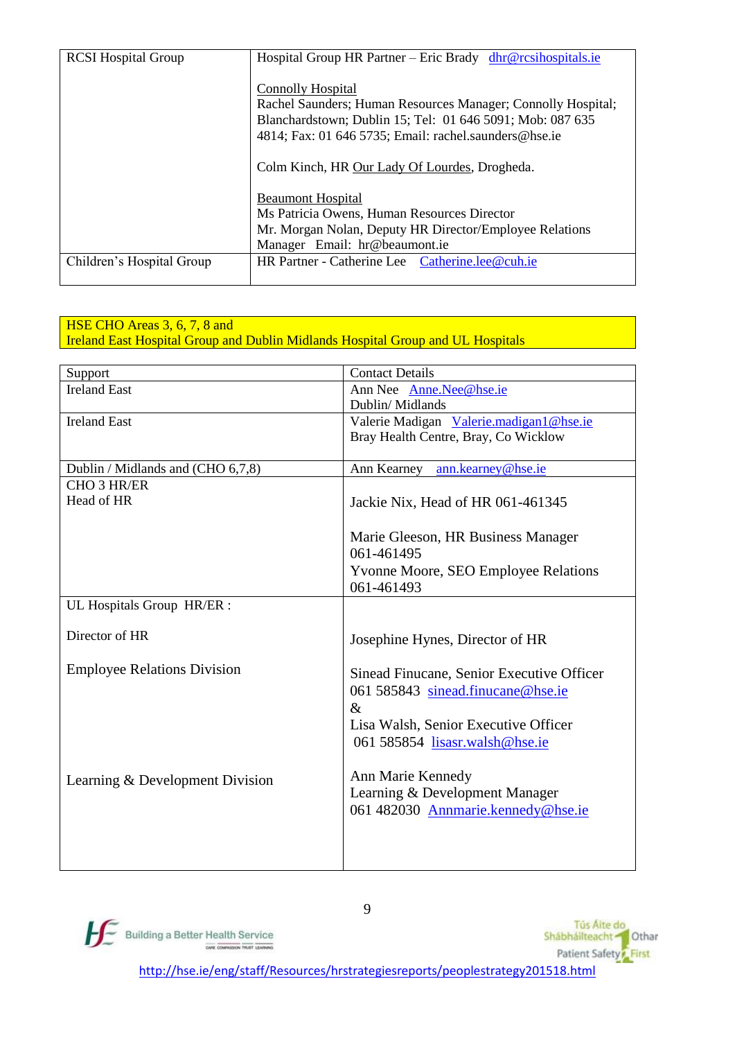| <b>RCSI</b> Hospital Group | Hospital Group HR Partner – Eric Brady dhr@rcsihospitals.ie  |
|----------------------------|--------------------------------------------------------------|
|                            |                                                              |
|                            | Connolly Hospital                                            |
|                            | Rachel Saunders; Human Resources Manager; Connolly Hospital; |
|                            | Blanchardstown; Dublin 15; Tel: 01 646 5091; Mob: 087 635    |
|                            | 4814; Fax: 01 646 5735; Email: rachel.saunders@hse.ie        |
|                            |                                                              |
|                            | Colm Kinch, HR Our Lady Of Lourdes, Drogheda.                |
|                            |                                                              |
|                            | <b>Beaumont Hospital</b>                                     |
|                            | Ms Patricia Owens, Human Resources Director                  |
|                            | Mr. Morgan Nolan, Deputy HR Director/Employee Relations      |
|                            | Manager Email: hr@beaumont.ie                                |
| Children's Hospital Group  | HR Partner - Catherine Lee Catherine.lee@cuh.ie              |
|                            |                                                              |

### HSE CHO Areas 3, 6, 7, 8 and Ireland East Hospital Group and Dublin Midlands Hospital Group and UL Hospitals

| Support                            | <b>Contact Details</b>                      |
|------------------------------------|---------------------------------------------|
| <b>Ireland East</b>                | Ann Nee Anne.Nee@hse.ie                     |
|                                    | Dublin/Midlands                             |
| <b>Ireland East</b>                | Valerie Madigan Valerie.madigan1@hse.ie     |
|                                    | Bray Health Centre, Bray, Co Wicklow        |
|                                    |                                             |
| Dublin / Midlands and (CHO 6,7,8)  | ann.kearney@hse.ie<br>Ann Kearney           |
| <b>CHO 3 HR/ER</b>                 |                                             |
| Head of HR                         | Jackie Nix, Head of HR 061-461345           |
|                                    |                                             |
|                                    | Marie Gleeson, HR Business Manager          |
|                                    | 061-461495                                  |
|                                    | <b>Yvonne Moore, SEO Employee Relations</b> |
|                                    | 061-461493                                  |
| UL Hospitals Group HR/ER :         |                                             |
|                                    |                                             |
| Director of HR                     | Josephine Hynes, Director of HR             |
|                                    |                                             |
| <b>Employee Relations Division</b> |                                             |
|                                    | Sinead Finucane, Senior Executive Officer   |
|                                    | 061 585843 sinead.finucane@hse.ie           |
|                                    | $\&$                                        |
|                                    | Lisa Walsh, Senior Executive Officer        |
|                                    | 061 585854 lisasr.walsh@hse.ie              |
|                                    |                                             |
| Learning & Development Division    | Ann Marie Kennedy                           |
|                                    | Learning & Development Manager              |
|                                    | 061 482030 Annmarie.kennedy@hse.ie          |
|                                    |                                             |
|                                    |                                             |
|                                    |                                             |



Tús Áite do<br>Shábháilteacht **Tá** Othar Patient Safety<sup>2</sup> First